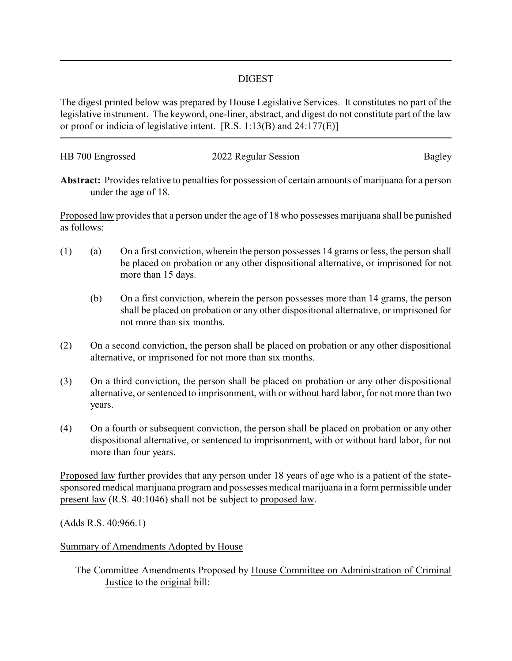## DIGEST

The digest printed below was prepared by House Legislative Services. It constitutes no part of the legislative instrument. The keyword, one-liner, abstract, and digest do not constitute part of the law or proof or indicia of legislative intent. [R.S. 1:13(B) and 24:177(E)]

| HB 700 Engrossed | 2022 Regular Session | Bagley |
|------------------|----------------------|--------|
|                  |                      |        |

**Abstract:** Provides relative to penalties for possession of certain amounts of marijuana for a person under the age of 18.

Proposed law provides that a person under the age of 18 who possesses marijuana shall be punished as follows:

- (1) (a) On a first conviction, wherein the person possesses 14 grams or less, the person shall be placed on probation or any other dispositional alternative, or imprisoned for not more than 15 days.
	- (b) On a first conviction, wherein the person possesses more than 14 grams, the person shall be placed on probation or any other dispositional alternative, or imprisoned for not more than six months.
- (2) On a second conviction, the person shall be placed on probation or any other dispositional alternative, or imprisoned for not more than six months.
- (3) On a third conviction, the person shall be placed on probation or any other dispositional alternative, or sentenced to imprisonment, with or without hard labor, for not more than two years.
- (4) On a fourth or subsequent conviction, the person shall be placed on probation or any other dispositional alternative, or sentenced to imprisonment, with or without hard labor, for not more than four years.

Proposed law further provides that any person under 18 years of age who is a patient of the statesponsored medical marijuana program and possesses medical marijuana in a form permissible under present law (R.S. 40:1046) shall not be subject to proposed law.

(Adds R.S. 40:966.1)

Summary of Amendments Adopted by House

The Committee Amendments Proposed by House Committee on Administration of Criminal Justice to the original bill: